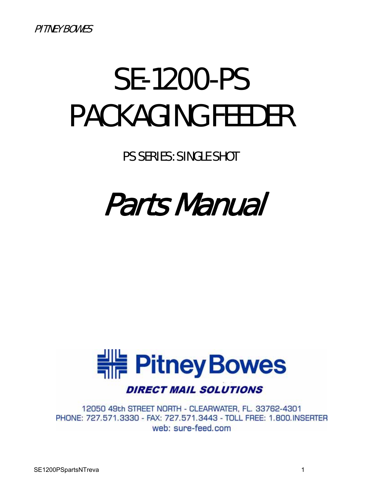# **SE-1200-PS PACKAGING FEEDER**

**PS SERIES: SINGLE SHOT** 

# Parts Manual



#### **DIRECT MAIL SOLUTIONS**

12050 49th STREET NORTH - CLEARWATER, FL. 33762-4301 PHONE: 727.571.3330 - FAX: 727.571.3443 - TOLL FREE: 1.800.INSERTER web: sure-feed.com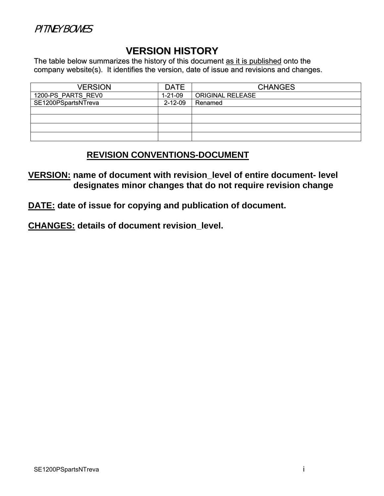#### **VERSION HISTORY**

The table below summarizes the history of this document as it is published onto the company website(s). It identifies the version, date of issue and revisions and changes.

| <b>VERSION</b>      | <b>DATE</b>   | <b>CHANGES</b>          |
|---------------------|---------------|-------------------------|
| 1200-PS PARTS REVO  | $1 - 21 - 09$ | <b>ORIGINAL RELEASE</b> |
| SE1200PSpartsNTreva | $2 - 12 - 09$ | Renamed                 |
|                     |               |                         |
|                     |               |                         |
|                     |               |                         |
|                     |               |                         |

#### **REVISION CONVENTIONS-DOCUMENT**

**VERSION: name of document with revision\_level of entire document- level designates minor changes that do not require revision change** 

**DATE: date of issue for copying and publication of document.** 

**CHANGES: details of document revision\_level.**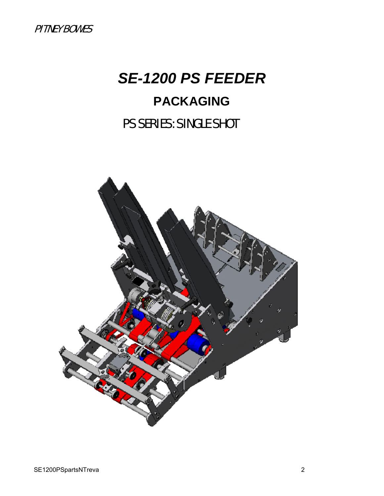# **SE-1200 PS FEEDER PACKAGING PS SERIES: SINGLE SHOT**

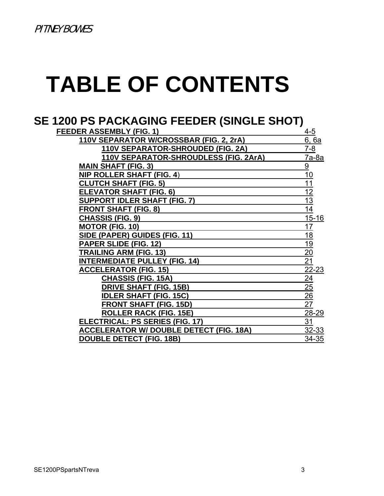# **TABLE OF CONTENTS**

#### **SE 1200 PS PACKAGING FEEDER (SINGLE SHOT)**

| <b>FEEDER ASSEMBLY (FIG. 1)</b>                | $4 - 5$         |
|------------------------------------------------|-----------------|
| 110V SEPARATOR W/CROSSBAR (FIG. 2, 2rA)        | 6, 6a           |
| <b>110V SEPARATOR-SHROUDED (FIG. 2A)</b>       | 7-8             |
| 110V SEPARATOR-SHROUDLESS (FIG. 2ArA)          | <u>7a-8a</u>    |
| <b>MAIN SHAFT (FIG. 3)</b>                     | $\overline{9}$  |
| <b>NIP ROLLER SHAFT (FIG. 4)</b>               | 10              |
| <b>CLUTCH SHAFT (FIG. 5)</b>                   | 11              |
| <b>ELEVATOR SHAFT (FIG. 6)</b>                 | 12              |
| <b>SUPPORT IDLER SHAFT (FIG. 7)</b>            | 13              |
| <b>FRONT SHAFT (FIG. 8)</b>                    | 14              |
| <b>CHASSIS (FIG. 9)</b>                        | $15 - 16$       |
| <b>MOTOR (FIG. 10)</b>                         | 17              |
| <b>SIDE (PAPER) GUIDES (FIG. 11)</b>           | 18              |
| <b>PAPER SLIDE (FIG. 12)</b>                   | 19              |
| <b>TRAILING ARM (FIG. 13)</b>                  | 20              |
| <b>INTERMEDIATE PULLEY (FIG. 14)</b>           | 21              |
| <b>ACCELERATOR (FIG. 15)</b>                   | $22 - 23$       |
| <b>CHASSIS (FIG. 15A)</b>                      | $\frac{24}{25}$ |
| <b>DRIVE SHAFT (FIG. 15B)</b>                  |                 |
| <b>IDLER SHAFT (FIG. 15C)</b>                  | $\frac{26}{5}$  |
| <b>FRONT SHAFT (FIG. 15D)</b>                  | 27              |
| <b>ROLLER RACK (FIG. 15E)</b>                  | 28-29           |
| <b>ELECTRICAL: PS SERIES (FIG. 17)</b>         | 31              |
| <b>ACCELERATOR W/ DOUBLE DETECT (FIG. 18A)</b> | $32 - 33$       |
| <b>DOUBLE DETECT (FIG. 18B)</b>                | 34-35           |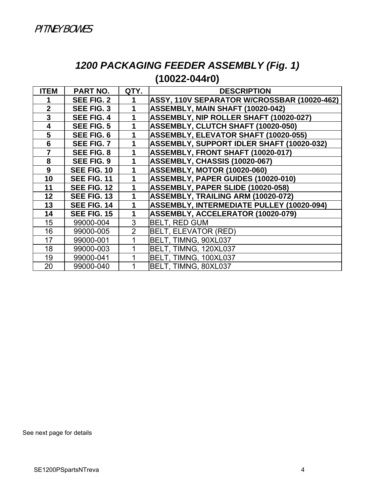# *1200 PACKAGING FEEDER ASSEMBLY (Fig. 1)*  **(10022-044r0)**

| <b>ITEM</b>    | <b>PART NO.</b>    | QTY.           | <b>DESCRIPTION</b>                               |
|----------------|--------------------|----------------|--------------------------------------------------|
|                | SEE FIG. 2         |                | ASSY, 110V SEPARATOR W/CROSSBAR (10020-462)      |
| $\overline{2}$ | <b>SEE FIG. 3</b>  |                | ASSEMBLY, MAIN SHAFT (10020-042)                 |
| 3              | <b>SEE FIG. 4</b>  |                | ASSEMBLY, NIP ROLLER SHAFT (10020-027)           |
| 4              | <b>SEE FIG. 5</b>  |                | ASSEMBLY, CLUTCH SHAFT (10020-050)               |
| 5              | SEE FIG. 6         |                | <b>ASSEMBLY, ELEVATOR SHAFT (10020-055)</b>      |
| 6              | SEE FIG. 7         |                | ASSEMBLY, SUPPORT IDLER SHAFT (10020-032)        |
|                | <b>SEE FIG. 8</b>  |                | ASSEMBLY, FRONT SHAFT (10020-017)                |
| 8              | <b>SEE FIG. 9</b>  | 1              | ASSEMBLY, CHASSIS (10020-067)                    |
| 9              | SEE FIG. 10        |                | <b>ASSEMBLY, MOTOR (10020-060)</b>               |
| 10             | SEE FIG. 11        |                | ASSEMBLY, PAPER GUIDES (10020-010)               |
| 11             | SEE FIG. 12        |                | ASSEMBLY, PAPER SLIDE (10020-058)                |
| $12 \,$        | SEE FIG. 13        |                | ASSEMBLY, TRAILING ARM (10020-072)               |
| 13             | SEE FIG. 14        |                | <b>ASSEMBLY, INTERMEDIATE PULLEY (10020-094)</b> |
| 14             | <b>SEE FIG. 15</b> | 1              | <b>ASSEMBLY, ACCELERATOR (10020-079)</b>         |
| 15             | 99000-004          | 3              | <b>BELT, RED GUM</b>                             |
| 16             | 99000-005          | $\overline{2}$ | BELT, ELEVATOR (RED)                             |
| 17             | 99000-001          |                | BELT, TIMNG, 90XL037                             |
| 18             | 99000-003          |                | BELT, TIMNG, 120XL037                            |
| 19             | 99000-041          |                | BELT, TIMNG, 100XL037                            |
| 20             | 99000-040          |                | BELT, TIMNG, 80XL037                             |

See next page for details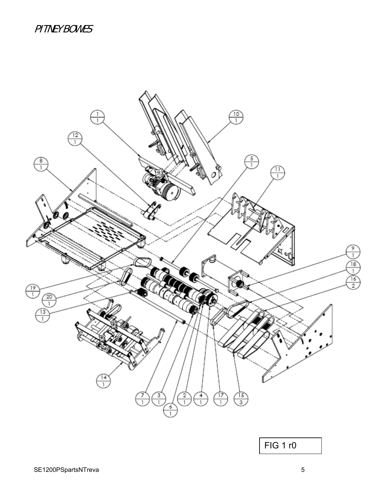

**FIG 1 r0**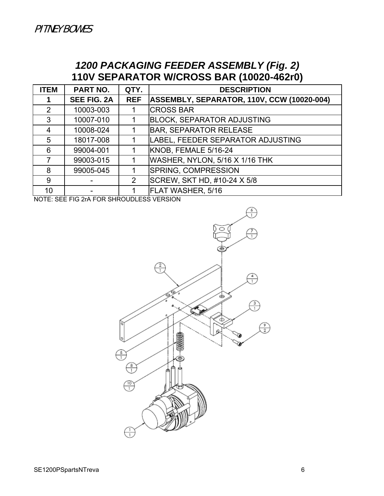#### *1200 PACKAGING FEEDER ASSEMBLY (Fig. 2)*  **110V SEPARATOR W/CROSS BAR (10020-462r0)**

| <b>ITEM</b>   | <b>PART NO.</b>    | QTY.       | <b>DESCRIPTION</b>                                |
|---------------|--------------------|------------|---------------------------------------------------|
|               | <b>SEE FIG. 2A</b> | <b>REF</b> | <b>ASSEMBLY, SEPARATOR, 110V, CCW (10020-004)</b> |
| $\mathcal{P}$ | 10003-003          |            | <b>CROSS BAR</b>                                  |
| 3             | 10007-010          |            | <b>BLOCK, SEPARATOR ADJUSTING</b>                 |
| 4             | 10008-024          |            | <b>BAR, SEPARATOR RELEASE</b>                     |
| 5             | 18017-008          |            | LABEL, FEEDER SEPARATOR ADJUSTING                 |
| 6             | 99004-001          |            | KNOB, FEMALE 5/16-24                              |
|               | 99003-015          |            | WASHER, NYLON, 5/16 X 1/16 THK                    |
| 8             | 99005-045          |            | <b>SPRING, COMPRESSION</b>                        |
| 9             |                    | 2          | SCREW, SKT HD, #10-24 X 5/8                       |
| 10            |                    |            | <b>FLAT WASHER, 5/16</b>                          |

NOTE: SEE FIG 2rA FOR SHROUDLESS VERSION

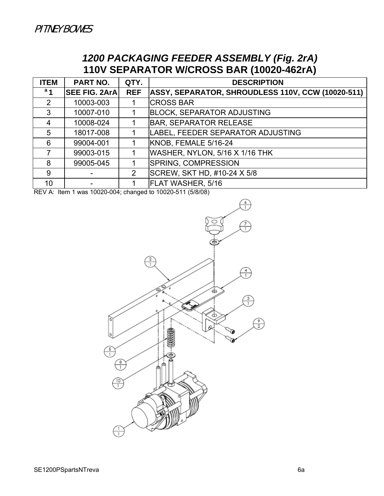#### *1200 PACKAGING FEEDER ASSEMBLY (Fig. 2rA)*  **110V SEPARATOR W/CROSS BAR (10020-462rA)**

| <b>ITEM</b> | <b>PART NO.</b>      | QTY.       | <b>DESCRIPTION</b>                                       |
|-------------|----------------------|------------|----------------------------------------------------------|
| $a_{1}$     | <b>SEE FIG. 2ArA</b> | <b>REF</b> | <b>ASSY, SEPARATOR, SHROUDLESS 110V, CCW (10020-511)</b> |
| 2           | 10003-003            |            | <b>CROSS BAR</b>                                         |
| 3           | 10007-010            |            | <b>BLOCK, SEPARATOR ADJUSTING</b>                        |
| 4           | 10008-024            |            | <b>BAR, SEPARATOR RELEASE</b>                            |
| 5           | 18017-008            |            | LABEL, FEEDER SEPARATOR ADJUSTING                        |
| 6           | 99004-001            |            | KNOB, FEMALE 5/16-24                                     |
|             | 99003-015            |            | WASHER, NYLON, 5/16 X 1/16 THK                           |
| 8           | 99005-045            |            | <b>SPRING, COMPRESSION</b>                               |
| 9           |                      | 2          | SCREW, SKT HD, #10-24 X 5/8                              |
| 10          |                      |            | FLAT WASHER, 5/16                                        |

REV A: Item 1 was 10020-004; changed to 10020-511 (5/8/08)

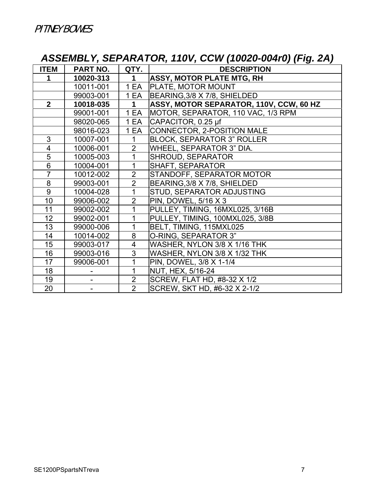### *ASSEMBLY, SEPARATOR, 110V, CCW (10020-004r0) (Fig. 2A)*

| <b>ITEM</b>    | <b>PART NO.</b> | QTY.           | <b>DESCRIPTION</b>                      |
|----------------|-----------------|----------------|-----------------------------------------|
| 1              | 10020-313       | $\mathbf{1}$   | <b>ASSY, MOTOR PLATE MTG, RH</b>        |
|                | 10011-001       | 1 EA           | <b>PLATE, MOTOR MOUNT</b>               |
|                | 99003-001       | 1 EA           | BEARING, 3/8 X 7/8, SHIELDED            |
| 2 <sup>1</sup> | 10018-035       | $\mathbf 1$    | ASSY, MOTOR SEPARATOR, 110V, CCW, 60 HZ |
|                | 99001-001       | 1 EA           | MOTOR, SEPARATOR, 110 VAC, 1/3 RPM      |
|                | 98020-065       | 1 EA           | $ CAPACITOR, 0.25$ µf                   |
|                | 98016-023       | 1 EA           | CONNECTOR, 2-POSITION MALE              |
| 3              | 10007-001       | 1              | <b>BLOCK, SEPARATOR 3" ROLLER</b>       |
| $\overline{4}$ | 10006-001       | $\overline{2}$ | WHEEL, SEPARATOR 3" DIA.                |
| 5              | 10005-003       | 1              | SHROUD, SEPARATOR                       |
| $\overline{6}$ | 10004-001       | 1              | SHAFT, SEPARATOR                        |
| $\overline{7}$ | 10012-002       | $\overline{2}$ | STANDOFF, SEPARATOR MOTOR               |
| 8              | 99003-001       | $\overline{2}$ | BEARING, 3/8 X 7/8, SHIELDED            |
| 9              | 10004-028       | $\mathbf{1}$   | STUD, SEPARATOR ADJUSTING               |
| 10             | 99006-002       | $\overline{2}$ | PIN, DOWEL, 5/16 X 3                    |
| 11             | 99002-002       | 1              | PULLEY, TIMING, 16MXL025, 3/16B         |
| 12             | 99002-001       | 1              | PULLEY, TIMING, 100MXL025, 3/8B         |
| 13             | 99000-006       | 1              | BELT, TIMING, 115MXL025                 |
| 14             | 10014-002       | 8              | O-RING, SEPARATOR 3"                    |
| 15             | 99003-017       | $\overline{4}$ | WASHER, NYLON 3/8 X 1/16 THK            |
| 16             | 99003-016       | $\overline{3}$ | WASHER, NYLON 3/8 X 1/32 THK            |
| 17             | 99006-001       | 1              | PIN, DOWEL, 3/8 X 1-1/4                 |
| 18             |                 | 1              | NUT, HEX, 5/16-24                       |
| 19             | -               | $\overline{2}$ | SCREW, FLAT HD, #8-32 X 1/2             |
| 20             | -               | $\overline{2}$ | SCREW, SKT HD, #6-32 X 2-1/2            |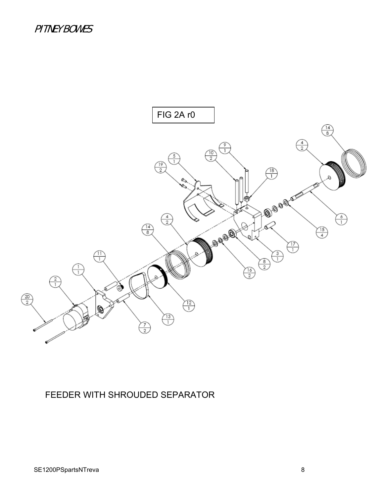

#### FEEDER WITH SHROUDED SEPARATOR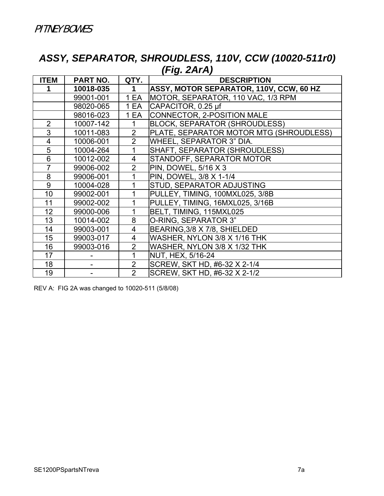| ASSY, SEPARATOR, SHROUDLESS, 110V, CCW (10020-511r0) |  |
|------------------------------------------------------|--|
| (Fig. 2ArA)                                          |  |

| <b>ITEM</b>    | <b>PART NO.</b> | QTY.           | <b>DESCRIPTION</b>                      |
|----------------|-----------------|----------------|-----------------------------------------|
|                | 10018-035       | 1              | ASSY, MOTOR SEPARATOR, 110V, CCW, 60 HZ |
|                | 99001-001       | 1 EA           | MOTOR, SEPARATOR, 110 VAC, 1/3 RPM      |
|                | 98020-065       | 1 EA           | CAPACITOR, 0.25 µf                      |
|                | 98016-023       | 1 EA           | CONNECTOR, 2-POSITION MALE              |
| $\overline{2}$ | 10007-142       | 1              | <b>BLOCK, SEPARATOR (SHROUDLESS)</b>    |
| 3              | 10011-083       | $\overline{2}$ | PLATE, SEPARATOR MOTOR MTG (SHROUDLESS) |
| 4              | 10006-001       | $\overline{2}$ | WHEEL, SEPARATOR 3" DIA.                |
| 5              | 10004-264       | 1              | SHAFT, SEPARATOR (SHROUDLESS)           |
| 6              | 10012-002       | 4              | STANDOFF, SEPARATOR MOTOR               |
| $\overline{7}$ | 99006-002       | $\overline{2}$ | PIN, DOWEL, 5/16 X 3                    |
| 8              | 99006-001       | 1              | PIN, DOWEL, 3/8 X 1-1/4                 |
| 9              | 10004-028       |                | STUD, SEPARATOR ADJUSTING               |
| 10             | 99002-001       |                | PULLEY, TIMING, 100MXL025, 3/8B         |
| 11             | 99002-002       |                | PULLEY, TIMING, 16MXL025, 3/16B         |
| 12             | 99000-006       |                | BELT, TIMING, 115MXL025                 |
| 13             | 10014-002       | 8              | O-RING, SEPARATOR 3"                    |
| 14             | 99003-001       | 4              | BEARING, 3/8 X 7/8, SHIELDED            |
| 15             | 99003-017       | 4              | WASHER, NYLON 3/8 X 1/16 THK            |
| 16             | 99003-016       | $\overline{2}$ | WASHER, NYLON 3/8 X 1/32 THK            |
| 17             |                 |                | NUT, HEX, 5/16-24                       |
| 18             |                 | $\overline{2}$ | SCREW, SKT HD, #6-32 X 2-1/4            |
| 19             |                 | $\overline{2}$ | SCREW, SKT HD, #6-32 X 2-1/2            |

REV A: FIG 2A was changed to 10020-511 (5/8/08)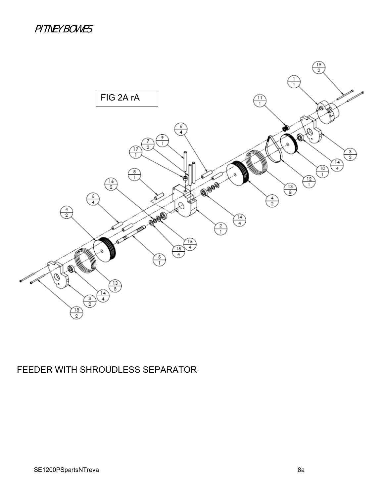

#### FEEDER WITH SHROUDLESS SEPARATOR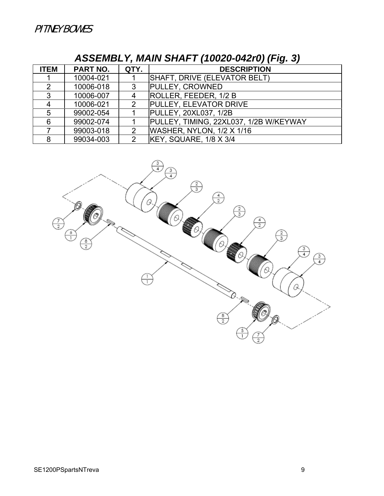| <b>ITEM</b> | <b>PART NO.</b> | QTY.          | <b>DESCRIPTION</b>                     |
|-------------|-----------------|---------------|----------------------------------------|
|             | 10004-021       |               | SHAFT, DRIVE (ELEVATOR BELT)           |
|             | 10006-018       | 3             | <b>PULLEY, CROWNED</b>                 |
| 3           | 10006-007       |               | ROLLER, FEEDER, 1/2 B                  |
|             | 10006-021       | $\mathcal{P}$ | <b>PULLEY, ELEVATOR DRIVE</b>          |
| 5           | 99002-054       |               | PULLEY, 20XL037, 1/2B                  |
| 6           | 99002-074       |               | PULLEY, TIMING, 22XL037, 1/2B W/KEYWAY |
|             | 99003-018       | $\mathcal{P}$ | WASHER, NYLON, 1/2 X 1/16              |
| 8           | 99034-003       | 2             | KEY, SQUARE, 1/8 X 3/4                 |

# *ASSEMBLY, MAIN SHAFT (10020-042r0) (Fig. 3)*

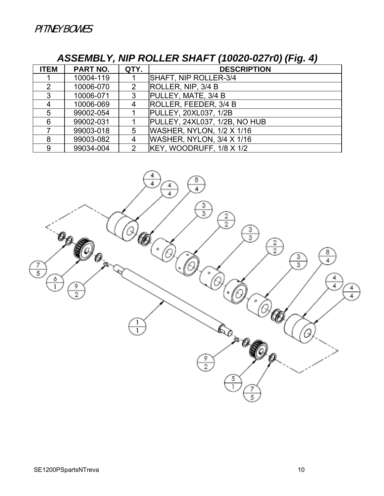# *ASSEMBLY, NIP ROLLER SHAFT (10020-027r0) (Fig. 4)*

| <b>ITEM</b>   | <b>PART NO.</b> | QTY. | <b>DESCRIPTION</b>               |
|---------------|-----------------|------|----------------------------------|
|               | 10004-119       |      | SHAFT, NIP ROLLER-3/4            |
| $\mathcal{P}$ | 10006-070       | 2    | ROLLER, NIP, 3/4 B               |
| 3             | 10006-071       | 3    | PULLEY, MATE, 3/4 B              |
|               | 10006-069       | 4    | ROLLER, FEEDER, 3/4 B            |
| 5             | 99002-054       |      | PULLEY, 20XL037, 1/2B            |
| 6             | 99002-031       |      | PULLEY, 24XL037, 1/2B, NO HUB    |
|               | 99003-018       | 5    | <b>WASHER, NYLON, 1/2 X 1/16</b> |
| 8             | 99003-082       | 4    | WASHER, NYLON, 3/4 X 1/16        |
| 9             | 99034-004       | 2    | KEY, WOODRUFF, 1/8 X 1/2         |

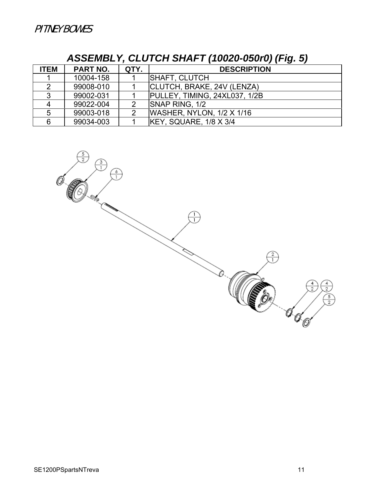| ASSEMBLY, CLUTCH SHAFT (10020-050r0) (Fig. 5) |  |
|-----------------------------------------------|--|
|-----------------------------------------------|--|

|             |                 |      | , , ,                            |
|-------------|-----------------|------|----------------------------------|
| <b>ITEM</b> | <b>PART NO.</b> | QTY. | <b>DESCRIPTION</b>               |
|             | 10004-158       |      | <b>SHAFT, CLUTCH</b>             |
|             | 99008-010       |      | CLUTCH, BRAKE, 24V (LENZA)       |
|             | 99002-031       |      | PULLEY, TIMING, 24XL037, 1/2B    |
|             | 99022-004       |      | <b>SNAP RING, 1/2</b>            |
|             | 99003-018       |      | <b>WASHER, NYLON, 1/2 X 1/16</b> |
| 6           | 99034-003       |      | KEY, SQUARE, 1/8 X 3/4           |

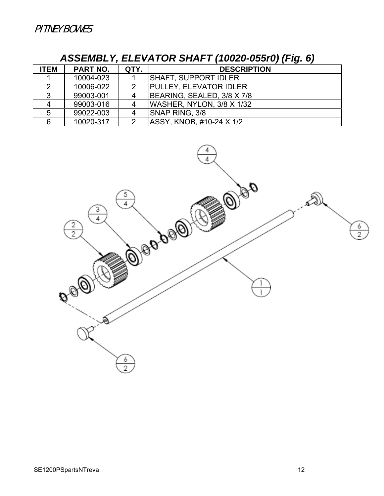# *ASSEMBLY, ELEVATOR SHAFT (10020-055r0) (Fig. 6)*

| <b>ITEM</b> | <b>PART NO.</b> | QTY. | <b>DESCRIPTION</b>            |
|-------------|-----------------|------|-------------------------------|
|             | 10004-023       |      | <b>SHAFT, SUPPORT IDLER</b>   |
|             | 10006-022       |      | <b>PULLEY, ELEVATOR IDLER</b> |
|             | 99003-001       | 4    | BEARING, SEALED, 3/8 X 7/8    |
|             | 99003-016       |      | WASHER, NYLON, 3/8 X 1/32     |
| 5           | 99022-003       |      | <b>SNAP RING, 3/8</b>         |
| 6           | 10020-317       | 2    | ASSY, KNOB, #10-24 X 1/2      |

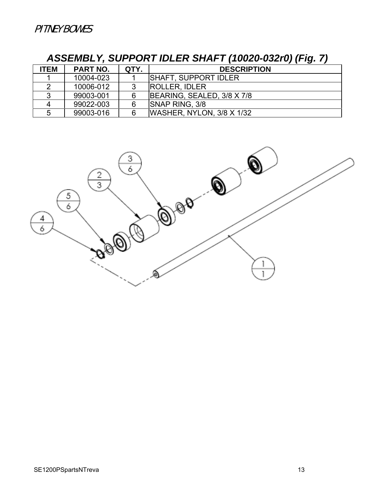| ASSEMBLY, SUPPORT IDLER SHAFT (10020-032r0) (Fig. 7) |  |  |  |
|------------------------------------------------------|--|--|--|
|------------------------------------------------------|--|--|--|

| <b>ITEM</b> | <b>PART NO.</b> | QTY. | <b>DESCRIPTION</b>               |
|-------------|-----------------|------|----------------------------------|
|             | 10004-023       |      | <b>SHAFT, SUPPORT IDLER</b>      |
|             | 10006-012       |      | <b>ROLLER. IDLER</b>             |
|             | 99003-001       | 6    | BEARING, SEALED, 3/8 X 7/8       |
|             | 99022-003       | 6    | <b>SNAP RING, 3/8</b>            |
|             | 99003-016       | 6    | <b>WASHER, NYLON, 3/8 X 1/32</b> |

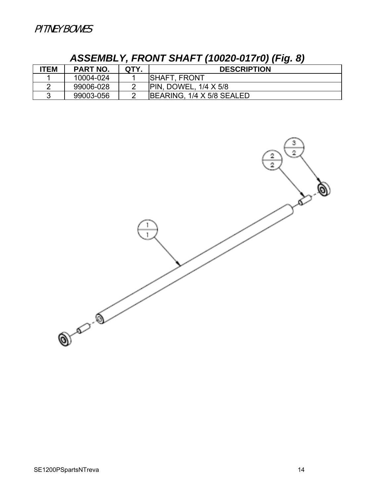# *ASSEMBLY, FRONT SHAFT (10020-017r0) (Fig. 8)*

| <b>ITEM</b> | <b>PART NO.</b> | QTY. | <b>DESCRIPTION</b>           |
|-------------|-----------------|------|------------------------------|
|             | 10004-024       |      | ISHAFT. FRONT                |
|             | 99006-028       |      | <b>PIN, DOWEL, 1/4 X 5/8</b> |
|             | 99003-056       |      | BEARING, 1/4 X 5/8 SEALED    |

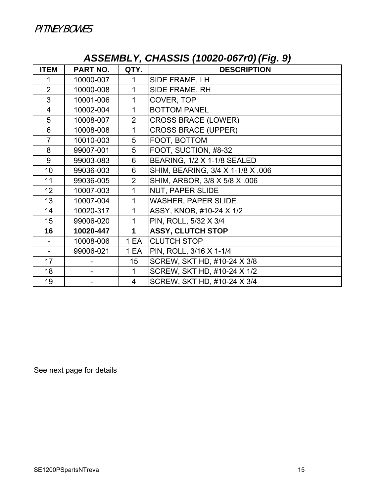# *ASSEMBLY, CHASSIS (10020-067r0) (Fig. 9)*

| <b>ITEM</b>    | PART NO.  | QTY.           | . <u>.</u> <i>.</i><br><b>DESCRIPTION</b> |
|----------------|-----------|----------------|-------------------------------------------|
|                | 10000-007 | 1              | SIDE FRAME, LH                            |
| $\overline{2}$ | 10000-008 | 1              | SIDE FRAME, RH                            |
| 3              | 10001-006 | 1              | COVER, TOP                                |
| $\overline{4}$ | 10002-004 | 1              | <b>BOTTOM PANEL</b>                       |
| 5              | 10008-007 | $\overline{2}$ | <b>CROSS BRACE (LOWER)</b>                |
| 6              | 10008-008 | 1              | <b>CROSS BRACE (UPPER)</b>                |
| $\overline{7}$ | 10010-003 | 5              | FOOT, BOTTOM                              |
| 8              | 99007-001 | 5              | FOOT, SUCTION, #8-32                      |
| 9              | 99003-083 | 6              | BEARING, 1/2 X 1-1/8 SEALED               |
| 10             | 99036-003 | 6              | SHIM, BEARING, 3/4 X 1-1/8 X .006         |
| 11             | 99036-005 | $\overline{2}$ | SHIM, ARBOR, 3/8 X 5/8 X .006             |
| 12             | 10007-003 | 1              | <b>NUT, PAPER SLIDE</b>                   |
| 13             | 10007-004 | 1              | <b>WASHER, PAPER SLIDE</b>                |
| 14             | 10020-317 | 1              | ASSY, KNOB, #10-24 X 1/2                  |
| 15             | 99006-020 | 1              | PIN, ROLL, 5/32 X 3/4                     |
| 16             | 10020-447 | 1              | <b>ASSY, CLUTCH STOP</b>                  |
|                | 10008-006 | 1 EA           | <b>CLUTCH STOP</b>                        |
|                | 99006-021 | 1 EA           | PIN, ROLL, 3/16 X 1-1/4                   |
| 17             |           | 15             | SCREW, SKT HD, #10-24 X 3/8               |
| 18             |           | 1              | SCREW, SKT HD, #10-24 X 1/2               |
| 19             |           | 4              | SCREW, SKT HD, #10-24 X 3/4               |

See next page for details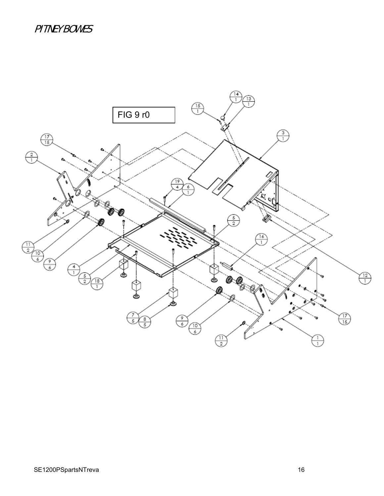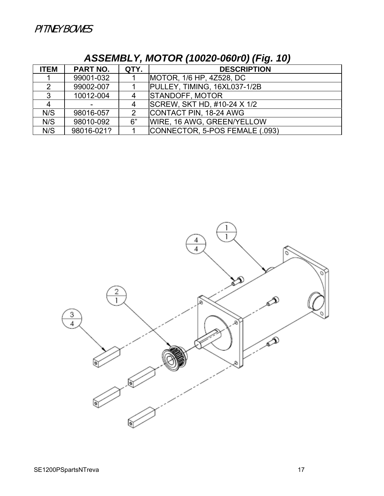| <b>ITEM</b>   | <b>PART NO.</b> | QTY.          | <b>DESCRIPTION</b>             |
|---------------|-----------------|---------------|--------------------------------|
|               | 99001-032       |               | MOTOR, 1/6 HP, 4Z528, DC       |
| $\mathcal{P}$ | 99002-007       |               | PULLEY, TIMING, 16XL037-1/2B   |
| 3             | 10012-004       | 4             | <b>STANDOFF, MOTOR</b>         |
|               |                 |               | SCREW, SKT HD, #10-24 X 1/2    |
| N/S           | 98016-057       | $\mathcal{P}$ | CONTACT PIN, 18-24 AWG         |
| N/S           | 98010-092       | 6"            | WIRE, 16 AWG, GREEN/YELLOW     |
| N/S           | 98016-021?      |               | CONNECTOR, 5-POS FEMALE (.093) |

# *ASSEMBLY, MOTOR (10020-060r0) (Fig. 10)*

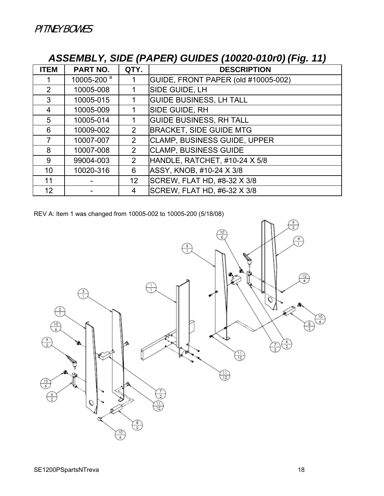# *ASSEMBLY, SIDE (PAPER) GUIDES (10020-010r0) (Fig. 11)*

| <b>ITEM</b> | <b>PART NO.</b> | QTY.            | $\sqrt{ }$<br>$\tilde{\phantom{a}}$<br><b>DESCRIPTION</b> |
|-------------|-----------------|-----------------|-----------------------------------------------------------|
|             | 10005-200 $a$   |                 | GUIDE, FRONT PAPER (old #10005-002)                       |
| 2           | 10005-008       |                 | SIDE GUIDE, LH                                            |
| 3           | 10005-015       | 1               | <b>GUIDE BUSINESS, LH TALL</b>                            |
| 4           | 10005-009       | 1               | SIDE GUIDE, RH                                            |
| 5           | 10005-014       | 1               | <b>GUIDE BUSINESS, RH TALL</b>                            |
| 6           | 10009-002       | $\overline{2}$  | <b>BRACKET, SIDE GUIDE MTG</b>                            |
|             | 10007-007       | $\overline{2}$  | <b>CLAMP, BUSINESS GUIDE, UPPER</b>                       |
| 8           | 10007-008       | $\overline{2}$  | <b>CLAMP, BUSINESS GUIDE</b>                              |
| 9           | 99004-003       | $\overline{2}$  | HANDLE, RATCHET, #10-24 X 5/8                             |
| 10          | 10020-316       | 6               | ASSY, KNOB, #10-24 X 3/8                                  |
| 11          |                 | 12 <sub>2</sub> | SCREW, FLAT HD, #8-32 X 3/8                               |
| 12          |                 | 4               | <b>SCREW, FLAT HD, #6-32 X 3/8</b>                        |

REV A: Item 1 was changed from 10005-002 to 10005-200 (5/18/08)

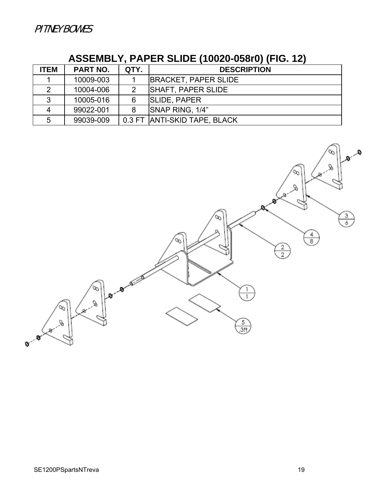| <b>ITEM</b> | <b>PART NO.</b> | QTY. | <b>DESCRIPTION</b>           |
|-------------|-----------------|------|------------------------------|
|             | 10009-003       |      | <b>BRACKET, PAPER SLIDE</b>  |
|             | 10004-006       |      | <b>SHAFT, PAPER SLIDE</b>    |
| 3           | 10005-016       | 6    | <b>SLIDE, PAPER</b>          |
| Δ           | 99022-001       | 8    | <b>SNAP RING, 1/4"</b>       |
| 5           | 99039-009       |      | 0.3 FT ANTI-SKID TAPE, BLACK |

#### **ASSEMBLY, PAPER SLIDE (10020-058r0) (FIG. 12)**

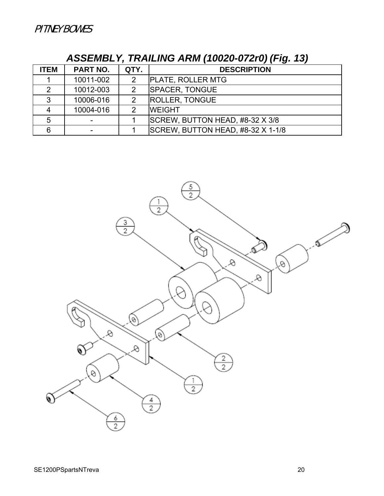|               |                          |      | -                                 |
|---------------|--------------------------|------|-----------------------------------|
| <b>ITEM</b>   | PART NO.                 | QTY. | <b>DESCRIPTION</b>                |
|               | 10011-002                | 2    | <b>PLATE, ROLLER MTG</b>          |
| $\mathcal{P}$ | 10012-003                | 2    | <b>SPACER, TONGUE</b>             |
| 3             | 10006-016                |      | <b>ROLLER, TONGUE</b>             |
|               | 10004-016                | 2    | <b>WEIGHT</b>                     |
| 5             |                          |      | SCREW, BUTTON HEAD, #8-32 X 3/8   |
|               | $\overline{\phantom{0}}$ |      | SCREW, BUTTON HEAD, #8-32 X 1-1/8 |

*ASSEMBLY, TRAILING ARM (10020-072r0) (Fig. 13)*

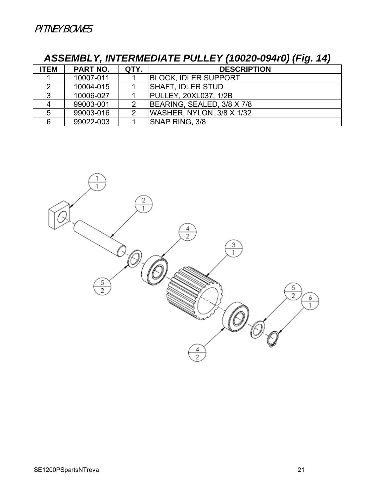| <b>ITEM</b> | <b>PART NO.</b> | QTY. | <b>DESCRIPTION</b>           |
|-------------|-----------------|------|------------------------------|
|             | 10007-011       |      | <b>BLOCK, IDLER SUPPORT</b>  |
|             | 10004-015       |      | <b>SHAFT, IDLER STUD</b>     |
|             | 10006-027       |      | <b>PULLEY, 20XL037, 1/2B</b> |
|             | 99003-001       |      | BEARING, SEALED, 3/8 X 7/8   |
| 5           | 99003-016       |      | WASHER, NYLON, 3/8 X 1/32    |
| 6           | 99022-003       |      | <b>SNAP RING, 3/8</b>        |

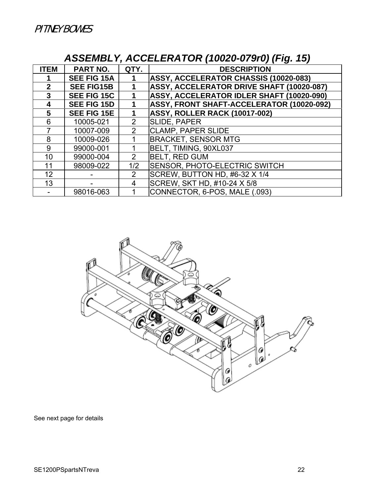#### *ASSEMBLY, ACCELERATOR (10020-079r0) (Fig. 15)*

| <b>ITEM</b>    | <b>PART NO.</b>    | QTY.           | <b>DESCRIPTION</b>                        |
|----------------|--------------------|----------------|-------------------------------------------|
|                | <b>SEE FIG 15A</b> |                | ASSY, ACCELERATOR CHASSIS (10020-083)     |
| $\mathfrak{p}$ | <b>SEE FIG15B</b>  |                | ASSY, ACCELERATOR DRIVE SHAFT (10020-087) |
| 3              | <b>SEE FIG 15C</b> |                | ASSY, ACCELERATOR IDLER SHAFT (10020-090) |
| 4              | <b>SEE FIG 15D</b> |                | ASSY, FRONT SHAFT-ACCELERATOR (10020-092) |
| 5              | <b>SEE FIG 15E</b> |                | <b>ASSY, ROLLER RACK (10017-002)</b>      |
| 6              | 10005-021          | $\overline{2}$ | <b>SLIDE, PAPER</b>                       |
|                | 10007-009          | 2              | <b>CLAMP, PAPER SLIDE</b>                 |
| 8              | 10009-026          |                | <b>BRACKET, SENSOR MTG</b>                |
| 9              | 99000-001          |                | BELT, TIMING, 90XL037                     |
| 10             | 99000-004          | 2              | <b>BELT, RED GUM</b>                      |
| 11             | 98009-022          | 1/2            | SENSOR, PHOTO-ELECTRIC SWITCH             |
| 12             |                    | 2              | SCREW, BUTTON HD, #6-32 X 1/4             |
| 13             |                    | 4              | SCREW, SKT HD, #10-24 X 5/8               |
|                | 98016-063          |                | CONNECTOR, 6-POS, MALE (.093)             |



See next page for details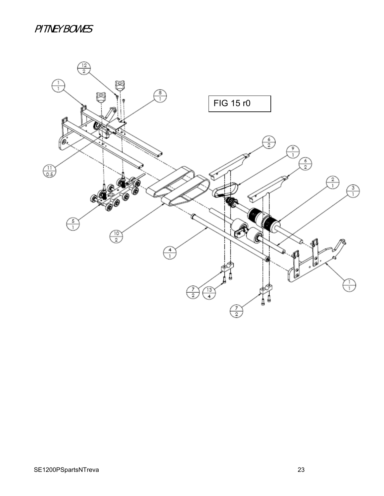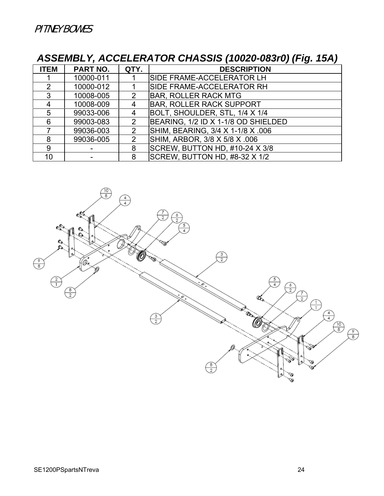### *ASSEMBLY, ACCELERATOR CHASSIS (10020-083r0) (Fig. 15A)*

| <b>ITEM</b> | <b>PART NO.</b> | QTY.          | <b>DESCRIPTION</b>                  |
|-------------|-----------------|---------------|-------------------------------------|
|             | 10000-011       |               | <b>SIDE FRAME-ACCELERATOR LH</b>    |
| 2           | 10000-012       |               | SIDE FRAME-ACCELERATOR RH           |
| 3           | 10008-005       | 2             | <b>BAR, ROLLER RACK MTG</b>         |
|             | 10008-009       | 4             | <b>BAR, ROLLER RACK SUPPORT</b>     |
| 5           | 99033-006       | 4             | BOLT, SHOULDER, STL, 1/4 X 1/4      |
| 6           | 99003-083       | 2             | BEARING, 1/2 ID X 1-1/8 OD SHIELDED |
|             | 99036-003       | $\mathcal{P}$ | SHIM, BEARING, 3/4 X 1-1/8 X .006   |
| 8           | 99036-005       | $\mathcal{P}$ | SHIM, ARBOR, 3/8 X 5/8 X .006       |
| 9           |                 | 8             | SCREW, BUTTON HD, #10-24 X 3/8      |
| 10          |                 | 8             | SCREW, BUTTON HD, #8-32 X 1/2       |

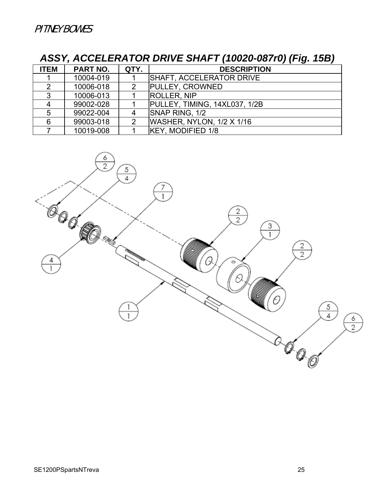### *ASSY, ACCELERATOR DRIVE SHAFT (10020-087r0) (Fig. 15B)*

| <b>ITEM</b> | PART NO.  | QTY. | <b>DESCRIPTION</b>              |
|-------------|-----------|------|---------------------------------|
|             | 10004-019 |      | <b>SHAFT, ACCELERATOR DRIVE</b> |
|             | 10006-018 |      | <b>PULLEY, CROWNED</b>          |
| 3           | 10006-013 |      | <b>ROLLER, NIP</b>              |
|             | 99002-028 |      | PULLEY, TIMING, 14XL037, 1/2B   |
| 5           | 99022-004 |      | SNAP RING, 1/2                  |
| 6           | 99003-018 | 2    | WASHER, NYLON, 1/2 X 1/16       |
|             | 10019-008 |      | <b>KEY, MODIFIED 1/8</b>        |

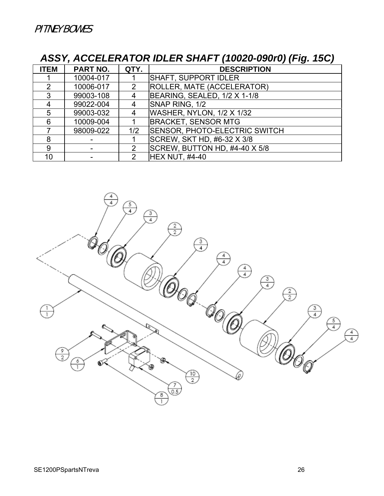#### *ASSY, ACCELERATOR IDLER SHAFT (10020-090r0) (Fig. 15C)*

| <b>ITEM</b>   | <b>PART NO.</b> | QTY.          | <b>DESCRIPTION</b>                |
|---------------|-----------------|---------------|-----------------------------------|
|               | 10004-017       |               | SHAFT, SUPPORT IDLER              |
| $\mathcal{P}$ | 10006-017       | $\mathcal{P}$ | <b>ROLLER, MATE (ACCELERATOR)</b> |
| 3             | 99003-108       | 4             | BEARING, SEALED, 1/2 X 1-1/8      |
|               | 99022-004       |               | SNAP RING, 1/2                    |
| 5             | 99003-032       | 4             | WASHER, NYLON, 1/2 X 1/32         |
| 6             | 10009-004       |               | <b>BRACKET, SENSOR MTG</b>        |
|               | 98009-022       | 1/2           | SENSOR, PHOTO-ELECTRIC SWITCH     |
| 8             |                 |               | SCREW, SKT HD, #6-32 X 3/8        |
| 9             |                 | 2             | SCREW, BUTTON HD, #4-40 X 5/8     |
| 10            |                 | $\mathcal{P}$ | <b>HEX NUT, #4-40</b>             |

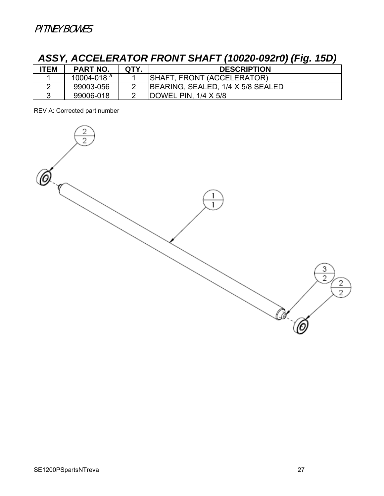### ASSY, ACCELERATOR FRONT SHAFT (10020-092r0) (Fig. 15D)

| <b>ITEM</b> | <b>PART NO.</b> | QTY. | <b>DESCRIPTION</b>                |
|-------------|-----------------|------|-----------------------------------|
|             | 10004-018 $a$   |      | SHAFT, FRONT (ACCELERATOR)        |
|             | 99003-056       |      | BEARING, SEALED, 1/4 X 5/8 SEALED |
|             | 99006-018       |      | DOWEL PIN, $1/4 \times 5/8$       |

REV A: Corrected part number

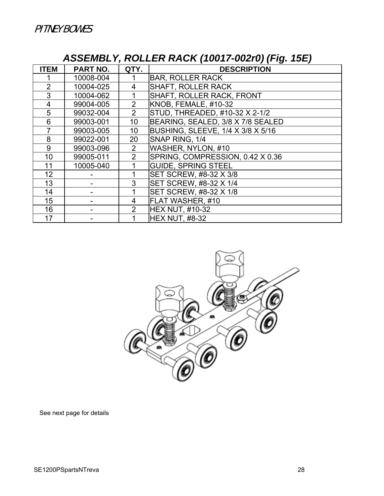# *ASSEMBLY, ROLLER RACK (10017-002r0) (Fig. 15E)*

| <b>ITEM</b>    | PART NO.  | QTY.           | $\sqrt{ }$<br><b>DESCRIPTION</b>  |
|----------------|-----------|----------------|-----------------------------------|
|                | 10008-004 |                | <b>BAR, ROLLER RACK</b>           |
| $\overline{2}$ | 10004-025 | 4              | <b>SHAFT, ROLLER RACK</b>         |
| 3              | 10004-062 |                | SHAFT, ROLLER RACK, FRONT         |
| 4              | 99004-005 | $\overline{2}$ | KNOB, FEMALE, #10-32              |
| 5              | 99032-004 | $\overline{2}$ | STUD, THREADED, #10-32 X 2-1/2    |
| 6              | 99003-001 | 10             | BEARING, SEALED, 3/8 X 7/8 SEALED |
|                | 99003-005 | 10             | BUSHING, SLEEVE, 1/4 X 3/8 X 5/16 |
| 8              | 99022-001 | 20             | SNAP RING, 1/4                    |
| 9              | 99003-096 | $\overline{2}$ | WASHER, NYLON, #10                |
| 10             | 99005-011 | $\overline{2}$ | SPRING, COMPRESSION, 0.42 X 0.36  |
| 11             | 10005-040 |                | <b>GUIDE, SPRING STEEL</b>        |
| 12             |           |                | SET SCREW, #8-32 X 3/8            |
| 13             |           | 3              | SET SCREW, #8-32 X 1/4            |
| 14             |           |                | SET SCREW, #8-32 X 1/8            |
| 15             |           | 4              | FLAT WASHER, #10                  |
| 16             |           | $\overline{2}$ | <b>HEX NUT, #10-32</b>            |
| 17             |           |                | HEX NUT, #8-32                    |



See next page for details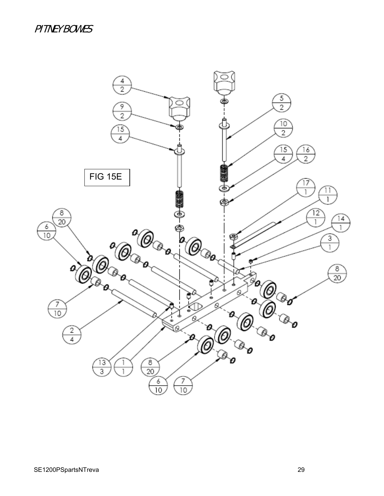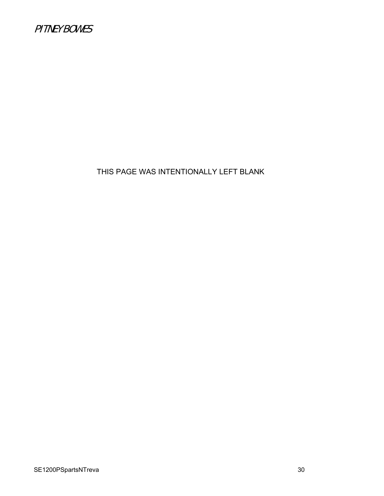THIS PAGE WAS INTENTIONALLY LEFT BLANK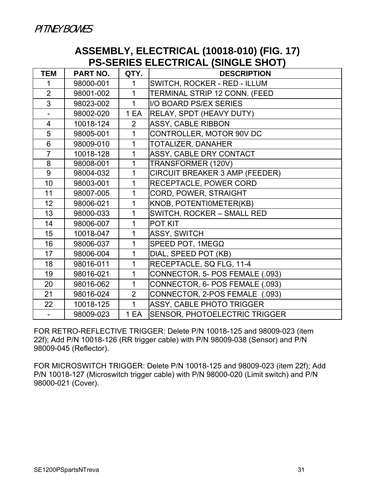#### **ASSEMBLY, ELECTRICAL (10018-010) (FIG. 17) PS-SERIES ELECTRICAL (SINGLE SHOT)**

| <b>TEM</b>              | PART NO.  | QTY.           | <b>DESCRIPTION</b>                |
|-------------------------|-----------|----------------|-----------------------------------|
|                         |           |                |                                   |
| 1                       | 98000-001 | $\mathbf{1}$   | SWITCH, ROCKER - RED - ILLUM      |
| $\overline{2}$          | 98001-002 | $\mathbf{1}$   | TERMINAL STRIP 12 CONN. (FEED     |
| 3                       | 98023-002 | $\mathbf{1}$   | I/O BOARD PS/EX SERIES            |
|                         | 98002-020 | 1 EA           | <b>RELAY, SPDT (HEAVY DUTY)</b>   |
| $\overline{\mathbf{4}}$ | 10018-124 | 2              | <b>ASSY, CABLE RIBBON</b>         |
| 5                       | 98005-001 | $\mathbf{1}$   | CONTROLLER, MOTOR 90V DC          |
| 6                       | 98009-010 | $\mathbf{1}$   | TOTALIZER, DANAHER                |
| $\overline{7}$          | 10018-128 | $\mathbf{1}$   | ASSY, CABLE DRY CONTACT           |
| 8                       | 98008-001 | $\mathbf{1}$   | TRANSFORMER (120V)                |
| 9                       | 98004-032 | $\mathbf{1}$   | CIRCUIT BREAKER 3 AMP (FEEDER)    |
| 10                      | 98003-001 | $\mathbf{1}$   | RECEPTACLE, POWER CORD            |
| 11                      | 98007-005 | 1              | CORD, POWER, STRAIGHT             |
| 12                      | 98006-021 | $\mathbf{1}$   | KNOB, POTENTIOMETER(KB)           |
| 13                      | 98000-033 | 1              | <b>SWITCH, ROCKER - SMALL RED</b> |
| 14                      | 98006-007 | $\mathbf{1}$   | POT KIT                           |
| 15                      | 10018-047 | 1              | <b>ASSY, SWITCH</b>               |
| 16                      | 98006-037 | 1              | SPEED POT, 1ΜEGΩ                  |
| 17                      | 98006-004 | 1              | DIAL, SPEED POT (KB)              |
| 18                      | 98016-011 | $\mathbf{1}$   | RECEPTACLE, SQ FLG, 11-4          |
| 19                      | 98016-021 | $\mathbf{1}$   | CONNECTOR, 5- POS FEMALE (.093)   |
| 20                      | 98016-062 | $\mathbf{1}$   | CONNECTOR, 6- POS FEMALE (.093)   |
| 21                      | 98016-024 | $\overline{2}$ | CONNECTOR, 2-POS FEMALE (.093)    |
| 22                      | 10018-125 | $\mathbf{1}$   | <b>ASSY, CABLE PHOTO TRIGGER</b>  |
|                         | 98009-023 | 1 EA           | SENSOR, PHOTOELECTRIC TRIGGER     |

FOR RETRO-REFLECTIVE TRIGGER: Delete P/N 10018-125 and 98009-023 (item 22f); Add P/N 10018-126 (RR trigger cable) with P/N 98009-038 (Sensor) and P/N 98009-045 (Reflector).

FOR MICROSWITCH TRIGGER: Delete P/N 10018-125 and 98009-023 (item 22f); Add P/N 10018-127 (Microswitch trigger cable) with P/N 98000-020 (Limit switch) and P/N 98000-021 (Cover).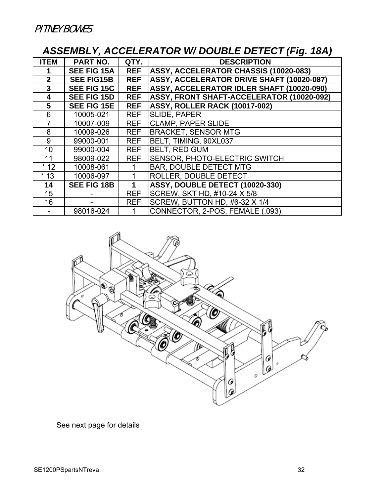### *ASSEMBLY, ACCELERATOR W/ DOUBLE DETECT (Fig. 18A)*

| <b>ITEM</b>  | PART NO.           | QTY.       | <b>DESCRIPTION</b>                        |
|--------------|--------------------|------------|-------------------------------------------|
|              | <b>SEE FIG 15A</b> | <b>REF</b> | ASSY, ACCELERATOR CHASSIS (10020-083)     |
| $\mathbf{2}$ | <b>SEE FIG15B</b>  | <b>REF</b> | ASSY, ACCELERATOR DRIVE SHAFT (10020-087) |
| 3            | <b>SEE FIG 15C</b> | <b>REF</b> | ASSY, ACCELERATOR IDLER SHAFT (10020-090) |
| 4            | <b>SEE FIG 15D</b> | <b>REF</b> | ASSY, FRONT SHAFT-ACCELERATOR (10020-092) |
| 5            | <b>SEE FIG 15E</b> | <b>REF</b> | <b>ASSY, ROLLER RACK (10017-002)</b>      |
| 6            | 10005-021          | <b>REF</b> | <b>SLIDE, PAPER</b>                       |
|              | 10007-009          | <b>REF</b> | <b>CLAMP, PAPER SLIDE</b>                 |
| 8            | 10009-026          | <b>REF</b> | <b>BRACKET, SENSOR MTG</b>                |
| 9            | 99000-001          | <b>REF</b> | BELT, TIMING, 90XL037                     |
| 10           | 99000-004          | <b>REF</b> | <b>BELT, RED GUM</b>                      |
| 11           | 98009-022          | <b>REF</b> | <b>SENSOR, PHOTO-ELECTRIC SWITCH</b>      |
| $*12$        | 10008-061          |            | <b>BAR, DOUBLE DETECT MTG</b>             |
| $*13$        | 10006-097          |            | ROLLER, DOUBLE DETECT                     |
| 14           | <b>SEE FIG 18B</b> | 1          | ASSY, DOUBLE DETECT (10020-330)           |
| 15           |                    | <b>REF</b> | SCREW, SKT HD, #10-24 X 5/8               |
| 16           |                    | <b>REF</b> | SCREW, BUTTON HD, #6-32 X 1/4             |
|              | 98016-024          |            | CONNECTOR, 2-POS, FEMALE (.093)           |



See next page for details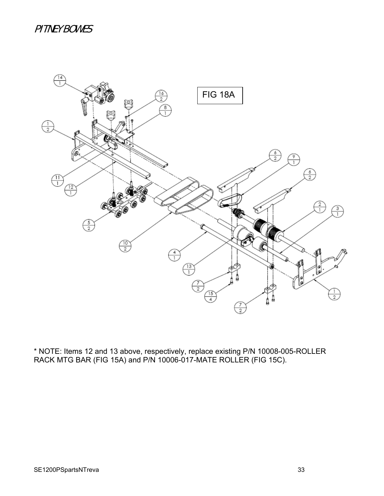

\* NOTE: Items 12 and 13 above, respectively, replace existing P/N 10008-005-ROLLER RACK MTG BAR (FIG 15A) and P/N 10006-017-MATE ROLLER (FIG 15C).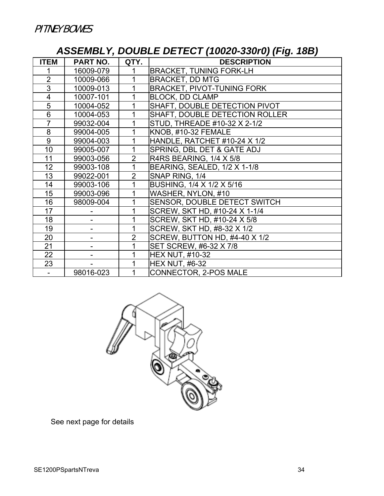#### *ASSEMBLY, DOUBLE DETECT (10020-330r0) (Fig. 18B)*

| <b>ITEM</b>    | PART NO.  | QTY.           | <b>DESCRIPTION</b>                |
|----------------|-----------|----------------|-----------------------------------|
|                | 16009-079 | 1              | <b>BRACKET, TUNING FORK-LH</b>    |
| $\overline{2}$ | 10009-066 |                | <b>BRACKET, DD MTG</b>            |
| $\overline{3}$ | 10009-013 |                | <b>BRACKET, PIVOT-TUNING FORK</b> |
| $\overline{4}$ | 10007-101 |                | <b>BLOCK, DD CLAMP</b>            |
| 5              | 10004-052 |                | SHAFT, DOUBLE DETECTION PIVOT     |
| $6\phantom{1}$ | 10004-053 |                | SHAFT, DOUBLE DETECTION ROLLER    |
| $\overline{7}$ | 99032-004 |                | STUD, THREADE #10-32 X 2-1/2      |
| 8              | 99004-005 | 1              | KNOB, #10-32 FEMALE               |
| 9              | 99004-003 | 1              | HANDLE, RATCHET #10-24 X 1/2      |
| 10             | 99005-007 | 1              | SPRING, DBL DET & GATE ADJ        |
| 11             | 99003-056 | $\overline{2}$ | R4RS BEARING, 1/4 X 5/8           |
| 12             | 99003-108 | 1              | BEARING, SEALED, 1/2 X 1-1/8      |
| 13             | 99022-001 | $\overline{2}$ | SNAP RING, 1/4                    |
| 14             | 99003-106 | 1              | BUSHING, 1/4 X 1/2 X 5/16         |
| 15             | 99003-096 |                | WASHER, NYLON, #10                |
| 16             | 98009-004 |                | SENSOR, DOUBLE DETECT SWITCH      |
| 17             |           |                | SCREW, SKT HD, #10-24 X 1-1/4     |
| 18             |           |                | SCREW, SKT HD, #10-24 X 5/8       |
| 19             |           |                | SCREW, SKT HD, #8-32 X 1/2        |
| 20             |           | $\overline{2}$ | SCREW, BUTTON HD, #4-40 X 1/2     |
| 21             |           |                | SET SCREW, #6-32 X 7/8            |
| 22             |           |                | <b>HEX NUT, #10-32</b>            |
| 23             |           |                | <b>HEX NUT, #6-32</b>             |
|                | 98016-023 |                | CONNECTOR, 2-POS MALE             |



See next page for details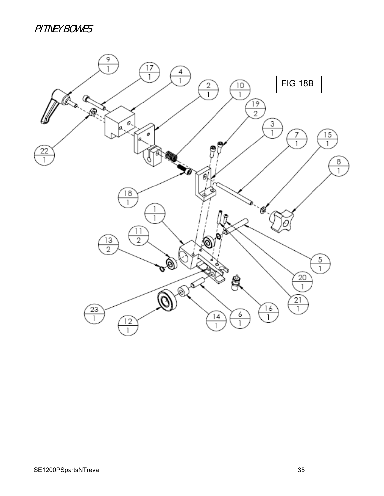